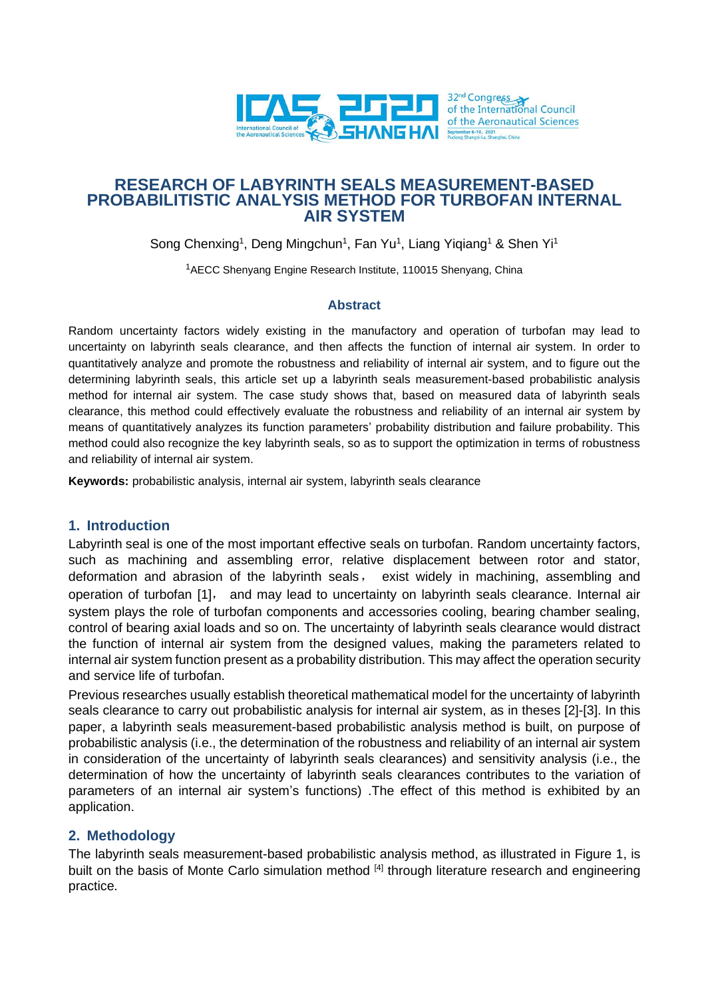

# **RESEARCH OF LABYRINTH SEALS MEASUREMENT-BASED PROBABILITISTIC ANALYSIS METHOD FOR TURBOFAN INTERNAL AIR SYSTEM**

Song Chenxing<sup>1</sup>, Deng Mingchun<sup>1</sup>, Fan Yu<sup>1</sup>, Liang Yiqiang<sup>1</sup> & Shen Yi<sup>1</sup>

<sup>1</sup>AECC Shenyang Engine Research Institute, 110015 Shenyang, China

## **Abstract**

Random uncertainty factors widely existing in the manufactory and operation of turbofan may lead to uncertainty on labyrinth seals clearance, and then affects the function of internal air system. In order to quantitatively analyze and promote the robustness and reliability of internal air system, and to figure out the determining labyrinth seals, this article set up a labyrinth seals measurement-based probabilistic analysis method for internal air system. The case study shows that, based on measured data of labyrinth seals clearance, this method could effectively evaluate the robustness and reliability of an internal air system by means of quantitatively analyzes its function parameters' probability distribution and failure probability. This method could also recognize the key labyrinth seals, so as to support the optimization in terms of robustness and reliability of internal air system.

**Keywords:** probabilistic analysis, internal air system, labyrinth seals clearance

## **1. Introduction**

Labyrinth seal is one of the most important effective seals on turbofan. Random uncertainty factors, such as machining and assembling error, relative displacement between rotor and stator, deformation and abrasion of the labyrinth seals, exist widely in machining, assembling and operation of turbofan [\[1\]](#page-5-0), and may lead to uncertainty on labyrinth seals clearance. Internal air system plays the role of turbofan components and accessories cooling, bearing chamber sealing, control of bearing axial loads and so on. The uncertainty of labyrinth seals clearance would distract the function of internal air system from the designed values, making the parameters related to internal air system function present as a probability distribution. This may affect the operation security and service life of turbofan.

Previous researches usually establish theoretical mathematical model for the uncertainty of labyrinth seals clearance to carry out probabilistic analysis for internal air system, as in theses [\[2\]](#page-5-1)[-\[3\].](#page-5-2) In this paper, a labyrinth seals measurement-based probabilistic analysis method is built, on purpose of probabilistic analysis (i.e., the determination of the robustness and reliability of an internal air system in consideration of the uncertainty of labyrinth seals clearances) and sensitivity analysis (i.e., the determination of how the uncertainty of labyrinth seals clearances contributes to the variation of parameters of an internal air system's functions) .The effect of this method is exhibited by an application.

# **2. Methodology**

The labyrinth seals measurement-based probabilistic analysis method, as illustrated in Figure 1, is built on the basis of Monte Carlo simulation method [\[4\]](#page-5-3) through literature research and engineering practice.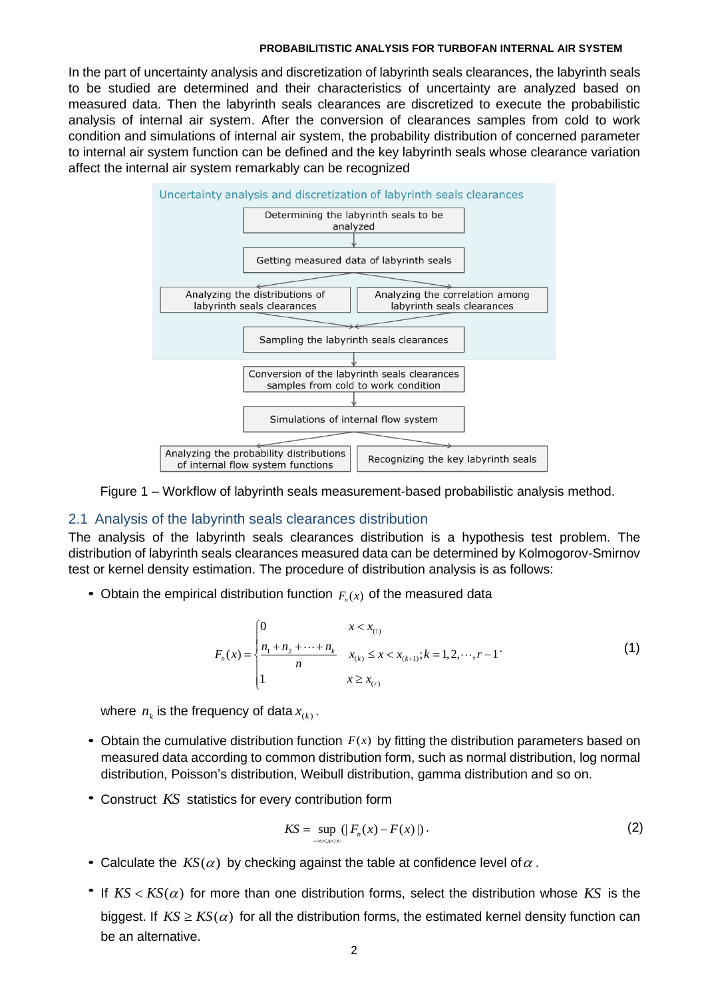In the part of uncertainty analysis and discretization of labyrinth seals clearances, the labyrinth seals to be studied are determined and their characteristics of uncertainty are analyzed based on measured data. Then the labyrinth seals clearances are discretized to execute the probabilistic analysis of internal air system. After the conversion of clearances samples from cold to work condition and simulations of internal air system, the probability distribution of concerned parameter to internal air system function can be defined and the key labyrinth seals whose clearance variation affect the internal air system remarkably can be recognized



Figure 1 – Workflow of labyrinth seals measurement-based probabilistic analysis method.

#### 2.1 Analysis of the labyrinth seals clearances distribution

The analysis of the labyrinth seals clearances distribution is a hypothesis test problem. The distribution of labyrinth seals clearances measured data can be determined by Kolmogorov-Smirnov test or kernel density estimation. The procedure of distribution analysis is as follows:

• Obtain the empirical distribution function  $F_n(x)$  of the measured data

$$
F_n(x) = \begin{cases} 0 & x < x_{(1)} \\ \frac{n_1 + n_2 + \dots + n_k}{n} & x_{(k)} \le x < x_{(k+1)}; k = 1, 2, \dots, r - 1 \\ 1 & x \ge x_{(r)} \end{cases} \tag{1}
$$

where  $n_{\scriptscriptstyle k}$  is the frequency of data  $x_{\scriptscriptstyle (k)}$  .

- Obtain the cumulative distribution function  $F(x)$  by fitting the distribution parameters based on measured data according to common distribution form, such as normal distribution, log normal distribution, Poisson's distribution, Weibull distribution, gamma distribution and so on.
- Construct *KS* statistics for every contribution form

$$
KS = \sup_{-\infty < x < \infty} (|F_n(x) - F(x)|) \,. \tag{2}
$$

- Calculate the  $KS(\alpha)$  by checking against the table at confidence level of  $\alpha$ .
- If  $KS < KS(\alpha)$  for more than one distribution forms, select the distribution whose  $KS$  is the biggest. If  $KS \geq KS(\alpha)$  for all the distribution forms, the estimated kernel density function can be an alternative.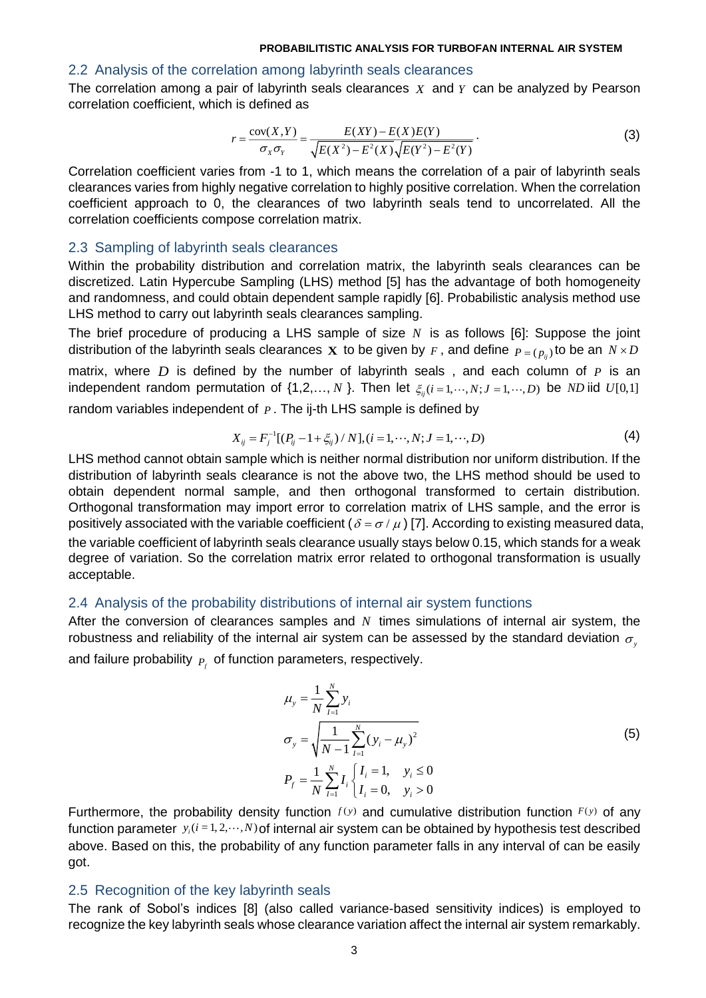### 2.2 Analysis of the correlation among labyrinth seals clearances

The correlation among a pair of labyrinth seals clearances *X* and *Y* can be analyzed by Pearson correlation coefficient, which is defined as

$$
r = \frac{\text{cov}(X, Y)}{\sigma_X \sigma_Y} = \frac{E(XY) - E(X)E(Y)}{\sqrt{E(X^2) - E^2(X)} \sqrt{E(Y^2) - E^2(Y)}}.
$$
\n(3)

Correlation coefficient varies from -1 to 1, which means the correlation of a pair of labyrinth seals clearances varies from highly negative correlation to highly positive correlation. When the correlation coefficient approach to 0, the clearances of two labyrinth seals tend to uncorrelated. All the correlation coefficients compose correlation matrix.

#### 2.3 Sampling of labyrinth seals clearances

Within the probability distribution and correlation matrix, the labyrinth seals clearances can be discretized. Latin Hypercube Sampling (LHS) method [\[5\]](#page-5-4) has the advantage of both homogeneity and randomness, and could obtain dependent sample rapidly [\[6\].](#page-5-5) Probabilistic analysis method use LHS method to carry out labyrinth seals clearances sampling.

The brief procedure of producing a LHS sample of size *N* is as follows [\[6\]:](#page-5-5) Suppose the joint distribution of the labyrinth seals clearances  $\boldsymbol{\mathrm{X}}$  to be given by  $_F$  , and define  $_{P=(P_{ij})}$ to be an  $N\!\times\! D$ matrix, where *D* is defined by the number of labyrinth seals, and each column of *P* is an independent random permutation of  $\{1, 2, ..., N\}$ . Then let  $\xi_{ij}$  (*i* = 1, ···, *N*; *J* = 1, ···, *D*) be *ND* iid *U*[0,1] random variables independent of *. The ij-th LHS sample is defined by* 

$$
X_{ij} = F_j^{-1}[(P_{ij} - 1 + \xi_{ij}) / N], (i = 1, \cdots, N; J = 1, \cdots, D)
$$
 (4)

LHS method cannot obtain sample which is neither normal distribution nor uniform distribution. If the distribution of labyrinth seals clearance is not the above two, the LHS method should be used to obtain dependent normal sample, and then orthogonal transformed to certain distribution. Orthogonal transformation may import error to correlation matrix of LHS sample, and the error is positively associated with the variable coefficient (  $\delta$  =  $\sigma$  /  $\mu$  ) [\[7\].](#page-5-6) According to existing measured data, the variable coefficient of labyrinth seals clearance usually stays below 0.15, which stands for a weak degree of variation. So the correlation matrix error related to orthogonal transformation is usually acceptable.

## 2.4 Analysis of the probability distributions of internal air system functions

After the conversion of clearances samples and N times simulations of internal air system, the robustness and reliability of the internal air system can be assessed by the standard deviation  $\sigma_{\text{y}}$ and failure probability  $P_f$  of function parameters, respectively.

$$
\mu_{y} = \frac{1}{N} \sum_{i=1}^{N} y_{i}
$$
\n
$$
\sigma_{y} = \sqrt{\frac{1}{N-1} \sum_{i=1}^{N} (y_{i} - \mu_{y})^{2}}
$$
\n
$$
P_{f} = \frac{1}{N} \sum_{i=1}^{N} I_{i} \begin{cases} I_{i} = 1, & y_{i} \le 0 \\ I_{i} = 0, & y_{i} > 0 \end{cases}
$$
\n(5)

Furthermore, the probability density function  $f(y)$  and cumulative distribution function  $F(y)$  of any function parameter  $y_i(i=1,2,\dots,N)$  of internal air system can be obtained by hypothesis test described above. Based on this, the probability of any function parameter falls in any interval of can be easily got.

### 2.5 Recognition of the key labyrinth seals

The rank of Sobol's indices [\[8\]](#page-5-7) (also called variance-based sensitivity indices) is employed to recognize the key labyrinth seals whose clearance variation affect the internal air system remarkably.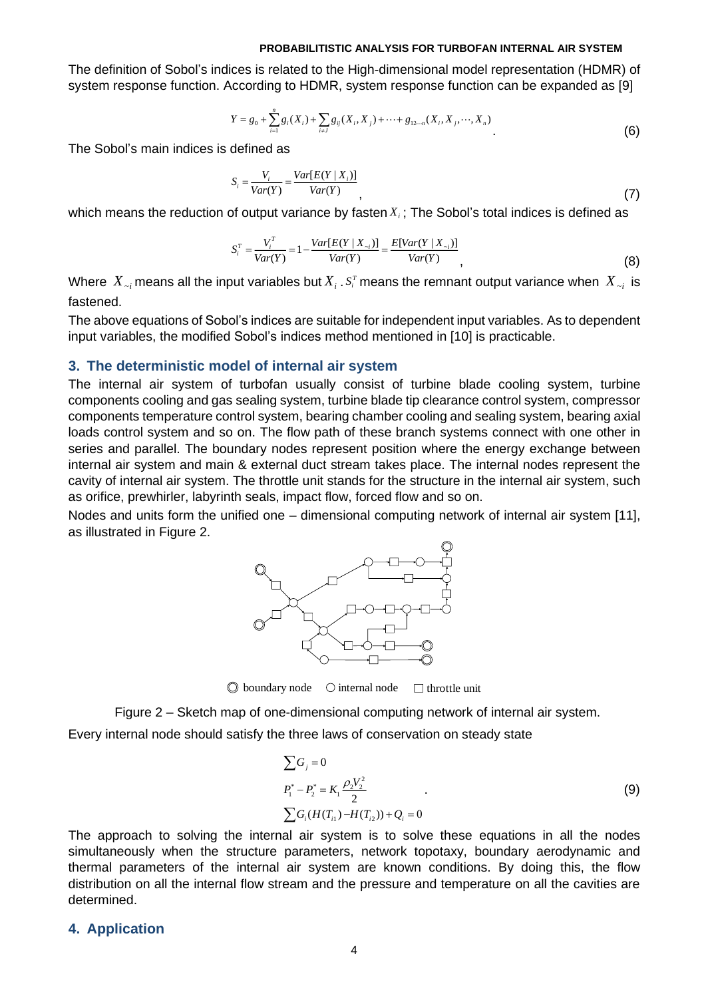The definition of Sobol's indices is related to the High-dimensional model representation (HDMR) of system response function. According to HDMR, system response function can be expanded as [\[9\]](#page-5-8)

$$
Y = g_0 + \sum_{i=1}^n g_i(X_i) + \sum_{i \neq j} g_{ij}(X_i, X_j) + \dots + g_{12\cdots n}(X_i, X_j, \dots, X_n)
$$
(6)

The Sobol's main indices is defined as

$$
S_i = \frac{V_i}{Var(Y)} = \frac{Var[E(Y | X_i)]}{Var(Y)},
$$
\n(7)

which means the reduction of output variance by fasten  $X_i$  ; The Sobol's total indices is defined as

$$
S_i^T = \frac{V_i^T}{Var(Y)} = 1 - \frac{Var[E(Y | X_{-i})]}{Var(Y)} = \frac{E[Var(Y | X_{-i})]}{Var(Y)},
$$
\n(8)

Where  $X_{\sim i}$  means all the input variables but  $X_i$  .  $S_i^{\rm r}$  means the remnant output variance when  $X_{\sim i}$  is fastened.

The above equations of Sobol's indices are suitable for independent input variables. As to dependent input variables, the modified Sobol's indices method mentioned in [\[10\]](#page-5-9) is practicable.

### **3. The deterministic model of internal air system**

The internal air system of turbofan usually consist of turbine blade cooling system, turbine components cooling and gas sealing system, turbine blade tip clearance control system, compressor components temperature control system, bearing chamber cooling and sealing system, bearing axial loads control system and so on. The flow path of these branch systems connect with one other in series and parallel. The boundary nodes represent position where the energy exchange between internal air system and main & external duct stream takes place. The internal nodes represent the cavity of internal air system. The throttle unit stands for the structure in the internal air system, such as orifice, prewhirler, labyrinth seals, impact flow, forced flow and so on.

Nodes and units form the unified one – dimensional computing network of internal air system [\[11\],](#page-5-10) as illustrated in Figure 2.



 $\oslash$  boundary node  $\oslash$  internal node  $\oslash$  throttle unit

Figure 2 – Sketch map of one-dimensional computing network of internal air system.

Every internal node should satisfy the three laws of conservation on steady state

$$
\sum G_j = 0
$$
  
\n
$$
P_1^* - P_2^* = K_1 \frac{\rho_2 V_2^2}{2}
$$
  
\n
$$
\sum G_i (H(T_{i1}) - H(T_{i2})) + Q_i = 0
$$
\n(9)

The approach to solving the internal air system is to solve these equations in all the nodes simultaneously when the structure parameters, network topotaxy, boundary aerodynamic and thermal parameters of the internal air system are known conditions. By doing this, the flow distribution on all the internal flow stream and the pressure and temperature on all the cavities are determined.

#### **4. Application**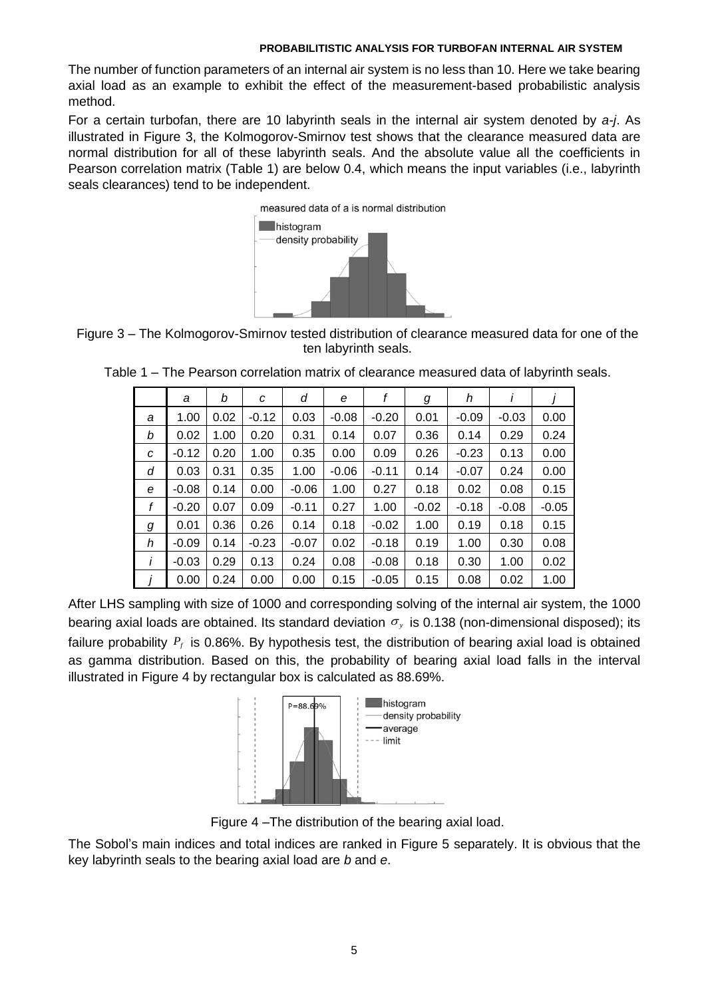The number of function parameters of an internal air system is no less than 10. Here we take bearing axial load as an example to exhibit the effect of the measurement-based probabilistic analysis method.

For a certain turbofan, there are 10 labyrinth seals in the internal air system denoted by *a-j*. As illustrated in Figure 3, the Kolmogorov-Smirnov test shows that the clearance measured data are normal distribution for all of these labyrinth seals. And the absolute value all the coefficients in Pearson correlation matrix (Table 1) are below 0.4, which means the input variables (i.e., labyrinth seals clearances) tend to be independent.





|              | a       | b    | C       | d       | е       |         | g       | h       |         |         |
|--------------|---------|------|---------|---------|---------|---------|---------|---------|---------|---------|
| a            | 1.00    | 0.02 | $-0.12$ | 0.03    | $-0.08$ | $-0.20$ | 0.01    | $-0.09$ | $-0.03$ | 0.00    |
| b            | 0.02    | 1.00 | 0.20    | 0.31    | 0.14    | 0.07    | 0.36    | 0.14    | 0.29    | 0.24    |
| С            | $-0.12$ | 0.20 | 1.00    | 0.35    | 0.00    | 0.09    | 0.26    | $-0.23$ | 0.13    | 0.00    |
| d            | 0.03    | 0.31 | 0.35    | 1.00    | $-0.06$ | $-0.11$ | 0.14    | $-0.07$ | 0.24    | 0.00    |
| е            | $-0.08$ | 0.14 | 0.00    | $-0.06$ | 1.00    | 0.27    | 0.18    | 0.02    | 0.08    | 0.15    |
| f            | $-0.20$ | 0.07 | 0.09    | $-0.11$ | 0.27    | 1.00    | $-0.02$ | $-0.18$ | $-0.08$ | $-0.05$ |
| g            | 0.01    | 0.36 | 0.26    | 0.14    | 0.18    | $-0.02$ | 1.00    | 0.19    | 0.18    | 0.15    |
| h            | $-0.09$ | 0.14 | $-0.23$ | $-0.07$ | 0.02    | $-0.18$ | 0.19    | 1.00    | 0.30    | 0.08    |
| $\mathbf{I}$ | $-0.03$ | 0.29 | 0.13    | 0.24    | 0.08    | $-0.08$ | 0.18    | 0.30    | 1.00    | 0.02    |
|              | 0.00    | 0.24 | 0.00    | 0.00    | 0.15    | $-0.05$ | 0.15    | 0.08    | 0.02    | 1.00    |

Table 1 – The Pearson correlation matrix of clearance measured data of labyrinth seals.

After LHS sampling with size of 1000 and corresponding solving of the internal air system, the 1000 bearing axial loads are obtained. Its standard deviation  $\sigma_y$  is 0.138 (non-dimensional disposed); its failure probability  $P_f$  is 0.86%. By hypothesis test, the distribution of bearing axial load is obtained as gamma distribution. Based on this, the probability of bearing axial load falls in the interval illustrated in Figure 4 by rectangular box is calculated as 88.69%.



Figure 4 –The distribution of the bearing axial load.

The Sobol's main indices and total indices are ranked in Figure 5 separately. It is obvious that the key labyrinth seals to the bearing axial load are *b* and *e*.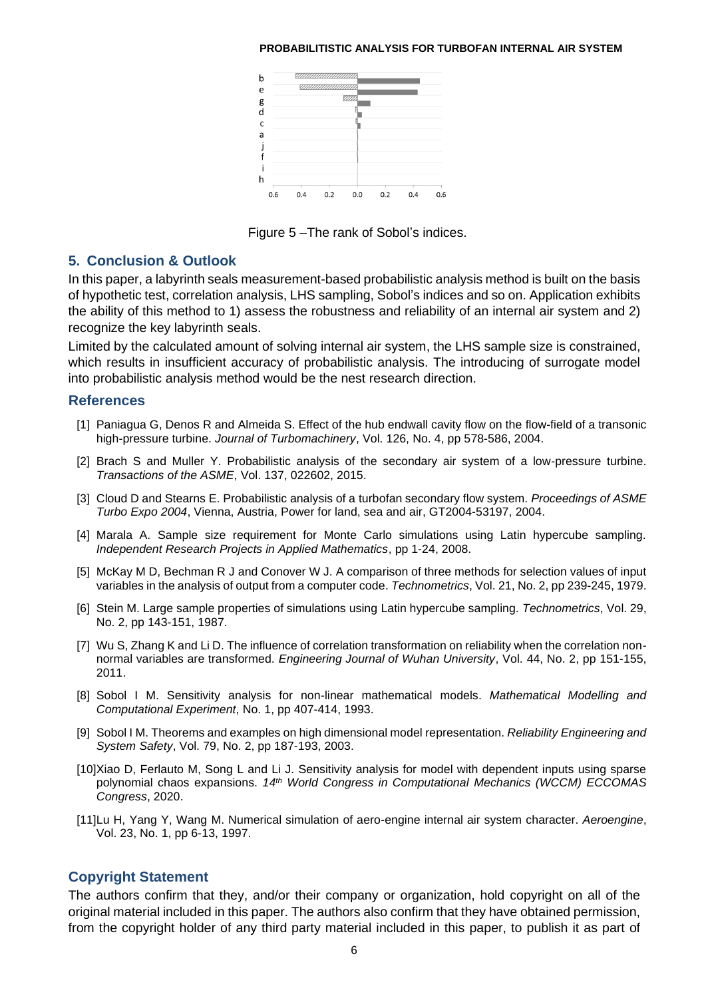

Figure 5 –The rank of Sobol's indices.

## **5. Conclusion & Outlook**

In this paper, a labyrinth seals measurement-based probabilistic analysis method is built on the basis of hypothetic test, correlation analysis, LHS sampling, Sobol's indices and so on. Application exhibits the ability of this method to 1) assess the robustness and reliability of an internal air system and 2) recognize the key labyrinth seals.

Limited by the calculated amount of solving internal air system, the LHS sample size is constrained, which results in insufficient accuracy of probabilistic analysis. The introducing of surrogate model into probabilistic analysis method would be the nest research direction.

# <span id="page-5-0"></span>**References**

- [1] Paniagua G, Denos R and Almeida S. Effect of the hub endwall cavity flow on the flow-field of a transonic high-pressure turbine. *Journal of Turbomachinery*, Vol. 126, No. 4, pp 578-586, 2004.
- <span id="page-5-1"></span>[2] Brach S and Muller Y. Probabilistic analysis of the secondary air system of a low-pressure turbine. *Transactions of the ASME*, Vol. 137, 022602, 2015.
- <span id="page-5-2"></span>[3] Cloud D and Stearns E. Probabilistic analysis of a turbofan secondary flow system. *Proceedings of ASME Turbo Expo 2004*, Vienna, Austria, Power for land, sea and air, GT2004-53197, 2004.
- <span id="page-5-3"></span>[4] Marala A. Sample size requirement for Monte Carlo simulations using Latin hypercube sampling. *Independent Research Projects in Applied Mathematics*, pp 1-24, 2008.
- <span id="page-5-4"></span>[5] McKay M D, Bechman R J and Conover W J. A comparison of three methods for selection values of input variables in the analysis of output from a computer code. *Technometrics*, Vol. 21, No. 2, pp 239-245, 1979.
- <span id="page-5-5"></span>[6] Stein M. Large sample properties of simulations using Latin hypercube sampling. *Technometrics*, Vol. 29, No. 2, pp 143-151, 1987.
- <span id="page-5-6"></span>[7] Wu S, Zhang K and Li D. The influence of correlation transformation on reliability when the correlation nonnormal variables are transformed. *Engineering Journal of Wuhan University*, Vol. 44, No. 2, pp 151-155, 2011.
- <span id="page-5-7"></span>[8] Sobol I M. Sensitivity analysis for non-linear mathematical models. *Mathematical Modelling and Computational Experiment*, No. 1, pp 407-414, 1993.
- <span id="page-5-8"></span>[9] Sobol I M. Theorems and examples on high dimensional model representation. *Reliability Engineering and System Safety*, Vol. 79, No. 2, pp 187-193, 2003.
- <span id="page-5-9"></span>[10]Xiao D, Ferlauto M, Song L and Li J. Sensitivity analysis for model with dependent inputs using sparse polynomial chaos expansions. *14th World Congress in Computational Mechanics (WCCM) ECCOMAS Congress*, 2020.
- <span id="page-5-10"></span>[11]Lu H, Yang Y, Wang M. Numerical simulation of aero-engine internal air system character. *Aeroengine*, Vol. 23, No. 1, pp 6-13, 1997.

# **Copyright Statement**

The authors confirm that they, and/or their company or organization, hold copyright on all of the original material included in this paper. The authors also confirm that they have obtained permission, from the copyright holder of any third party material included in this paper, to publish it as part of